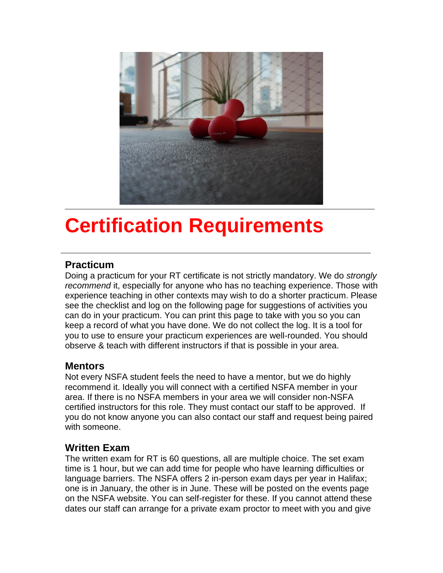

## **Certification Requirements**

#### **Practicum**

Doing a practicum for your RT certificate is not strictly mandatory. We do *strongly recommend* it, especially for anyone who has no teaching experience. Those with experience teaching in other contexts may wish to do a shorter practicum. Please see the checklist and log on the following page for suggestions of activities you can do in your practicum. You can print this page to take with you so you can keep a record of what you have done. We do not collect the log. It is a tool for you to use to ensure your practicum experiences are well-rounded. You should observe & teach with different instructors if that is possible in your area.

#### **Mentors**

Not every NSFA student feels the need to have a mentor, but we do highly recommend it. Ideally you will connect with a certified NSFA member in your area. If there is no NSFA members in your area we will consider non-NSFA certified instructors for this role. They must contact our staff to be approved. If you do not know anyone you can also contact our staff and request being paired with someone.

#### **Written Exam**

The written exam for RT is 60 questions, all are multiple choice. The set exam time is 1 hour, but we can add time for people who have learning difficulties or language barriers. The NSFA offers 2 in-person exam days per year in Halifax; one is in January, the other is in June. These will be posted on the events page on the NSFA website. You can self-register for these. If you cannot attend these dates our staff can arrange for a private exam proctor to meet with you and give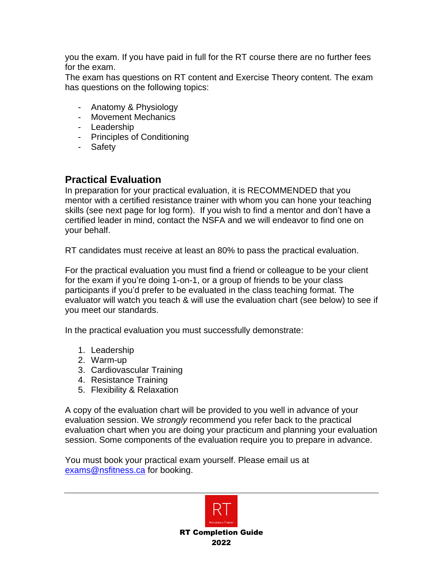you the exam. If you have paid in full for the RT course there are no further fees for the exam.

The exam has questions on RT content and Exercise Theory content. The exam has questions on the following topics:

- Anatomy & Physiology
- Movement Mechanics
- Leadership
- Principles of Conditioning
- Safety

#### **Practical Evaluation**

In preparation for your practical evaluation, it is RECOMMENDED that you mentor with a certified resistance trainer with whom you can hone your teaching skills (see next page for log form). If you wish to find a mentor and don't have a certified leader in mind, contact the NSFA and we will endeavor to find one on your behalf.

RT candidates must receive at least an 80% to pass the practical evaluation.

For the practical evaluation you must find a friend or colleague to be your client for the exam if you're doing 1-on-1, or a group of friends to be your class participants if you'd prefer to be evaluated in the class teaching format. The evaluator will watch you teach & will use the evaluation chart (see below) to see if you meet our standards.

In the practical evaluation you must successfully demonstrate:

- 1. Leadership
- 2. Warm-up
- 3. Cardiovascular Training
- 4. Resistance Training
- 5. Flexibility & Relaxation

A copy of the evaluation chart will be provided to you well in advance of your evaluation session. We *strongly* recommend you refer back to the practical evaluation chart when you are doing your practicum and planning your evaluation session. Some components of the evaluation require you to prepare in advance.

You must book your practical exam yourself. Please email us at [exams@nsfitness.ca](mailto:exams@nsfitness.ca) for booking.

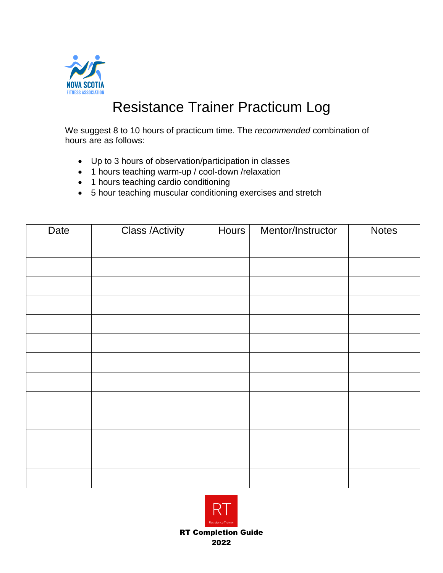

### Resistance Trainer Practicum Log

We suggest 8 to 10 hours of practicum time. The *recommended* combination of hours are as follows:

- Up to 3 hours of observation/participation in classes
- 1 hours teaching warm-up / cool-down /relaxation
- 1 hours teaching cardio conditioning
- 5 hour teaching muscular conditioning exercises and stretch

| Date | <b>Class /Activity</b> | Hours | Mentor/Instructor | <b>Notes</b> |
|------|------------------------|-------|-------------------|--------------|
|      |                        |       |                   |              |
|      |                        |       |                   |              |
|      |                        |       |                   |              |
|      |                        |       |                   |              |
|      |                        |       |                   |              |
|      |                        |       |                   |              |
|      |                        |       |                   |              |
|      |                        |       |                   |              |
|      |                        |       |                   |              |
|      |                        |       |                   |              |
|      |                        |       |                   |              |
|      |                        |       |                   |              |
|      |                        |       |                   |              |
|      |                        |       |                   |              |



2022